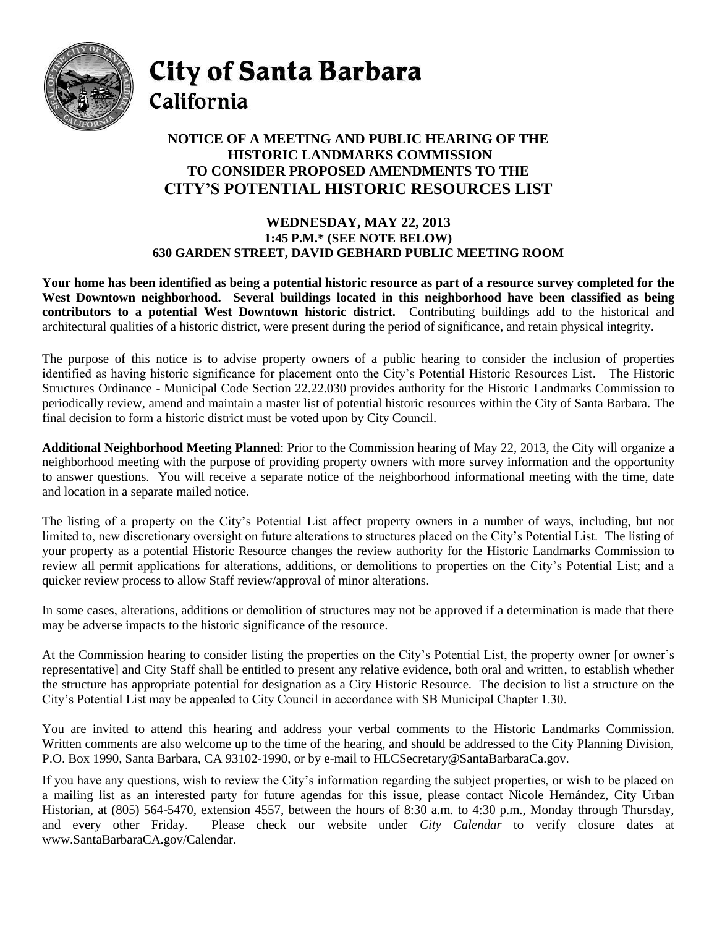

City of Santa Barbara California

## **NOTICE OF A MEETING AND PUBLIC HEARING OF THE HISTORIC LANDMARKS COMMISSION TO CONSIDER PROPOSED AMENDMENTS TO THE CITY'S POTENTIAL HISTORIC RESOURCES LIST**

## **WEDNESDAY, MAY 22, 2013 1:45 P.M.\* (SEE NOTE BELOW) 630 GARDEN STREET, DAVID GEBHARD PUBLIC MEETING ROOM**

**Your home has been identified as being a potential historic resource as part of a resource survey completed for the West Downtown neighborhood. Several buildings located in this neighborhood have been classified as being contributors to a potential West Downtown historic district.** Contributing buildings add to the historical and architectural qualities of a historic district, were present during the period of significance, and retain physical integrity.

The purpose of this notice is to advise property owners of a public hearing to consider the inclusion of properties identified as having historic significance for placement onto the City's Potential Historic Resources List. The Historic Structures Ordinance - Municipal Code Section 22.22.030 provides authority for the Historic Landmarks Commission to periodically review, amend and maintain a master list of potential historic resources within the City of Santa Barbara. The final decision to form a historic district must be voted upon by City Council.

**Additional Neighborhood Meeting Planned**: Prior to the Commission hearing of May 22, 2013, the City will organize a neighborhood meeting with the purpose of providing property owners with more survey information and the opportunity to answer questions. You will receive a separate notice of the neighborhood informational meeting with the time, date and location in a separate mailed notice.

The listing of a property on the City's Potential List affect property owners in a number of ways, including, but not limited to, new discretionary oversight on future alterations to structures placed on the City's Potential List. The listing of your property as a potential Historic Resource changes the review authority for the Historic Landmarks Commission to review all permit applications for alterations, additions, or demolitions to properties on the City's Potential List; and a quicker review process to allow Staff review/approval of minor alterations.

In some cases, alterations, additions or demolition of structures may not be approved if a determination is made that there may be adverse impacts to the historic significance of the resource.

At the Commission hearing to consider listing the properties on the City's Potential List, the property owner [or owner's representative] and City Staff shall be entitled to present any relative evidence, both oral and written, to establish whether the structure has appropriate potential for designation as a City Historic Resource. The decision to list a structure on the City's Potential List may be appealed to City Council in accordance with SB Municipal Chapter 1.30.

You are invited to attend this hearing and address your verbal comments to the Historic Landmarks Commission. Written comments are also welcome up to the time of the hearing, and should be addressed to the City Planning Division, P.O. Box 1990, Santa Barbara, CA 93102-1990, or by e-mail to [HLCSecretary@SantaBarbaraCa.gov.](mailto:HLCSecretary@SantaBarbaraCa.gov)

If you have any questions, wish to review the City's information regarding the subject properties, or wish to be placed on a mailing list as an interested party for future agendas for this issue, please contact Nicole Hernández, City Urban Historian, at (805) 564-5470, extension 4557, between the hours of 8:30 a.m. to 4:30 p.m., Monday through Thursday, and every other Friday. Please check our website under *City Calendar* to verify closure dates at [www.SantaBarbaraCA.gov/Calendar.](http://www.santabarbaraca.gov/Calendar)